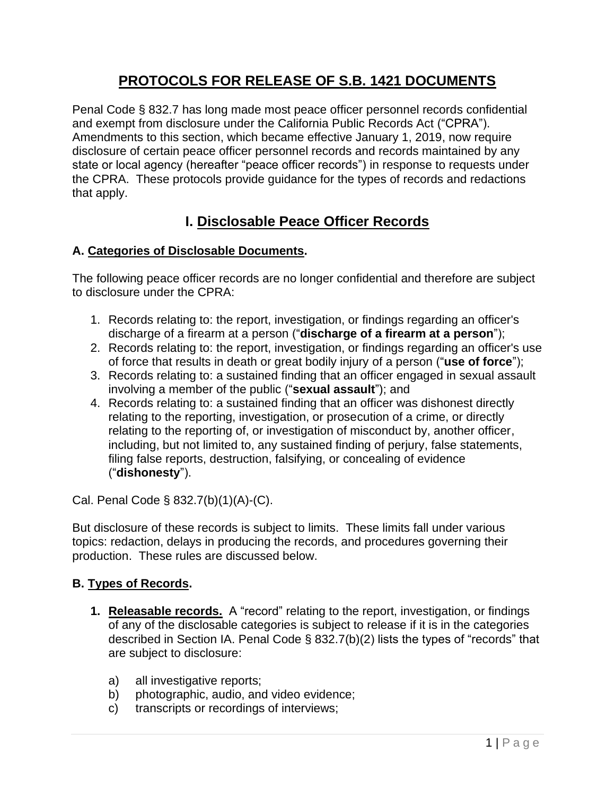# **PROTOCOLS FOR RELEASE OF S.B. 1421 DOCUMENTS**

Penal Code § 832.7 has long made most peace officer personnel records confidential and exempt from disclosure under the California Public Records Act ("CPRA"). Amendments to this section, which became effective January 1, 2019, now require disclosure of certain peace officer personnel records and records maintained by any state or local agency (hereafter "peace officer records") in response to requests under the CPRA. These protocols provide guidance for the types of records and redactions that apply.

## **I. Disclosable Peace Officer Records**

#### **A. Categories of Disclosable Documents.**

The following peace officer records are no longer confidential and therefore are subject to disclosure under the CPRA:

- 1. Records relating to: the report, investigation, or findings regarding an officer's discharge of a firearm at a person ("**discharge of a firearm at a person**");
- 2. Records relating to: the report, investigation, or findings regarding an officer's use of force that results in death or great bodily injury of a person ("**use of force**");
- 3. Records relating to: a sustained finding that an officer engaged in sexual assault involving a member of the public ("**sexual assault**"); and
- 4. Records relating to: a sustained finding that an officer was dishonest directly relating to the reporting, investigation, or prosecution of a crime, or directly relating to the reporting of, or investigation of misconduct by, another officer, including, but not limited to, any sustained finding of perjury, false statements, filing false reports, destruction, falsifying, or concealing of evidence ("**dishonesty**").

Cal. Penal Code § 832.7(b)(1)(A)-(C).

But disclosure of these records is subject to limits. These limits fall under various topics: redaction, delays in producing the records, and procedures governing their production. These rules are discussed below.

## **B. Types of Records.**

- **1. Releasable records.** A "record" relating to the report, investigation, or findings of any of the disclosable categories is subject to release if it is in the categories described in Section IA. Penal Code § 832.7(b)(2) lists the types of "records" that are subject to disclosure:
	- a) all investigative reports;
	- b) photographic, audio, and video evidence;
	- c) transcripts or recordings of interviews;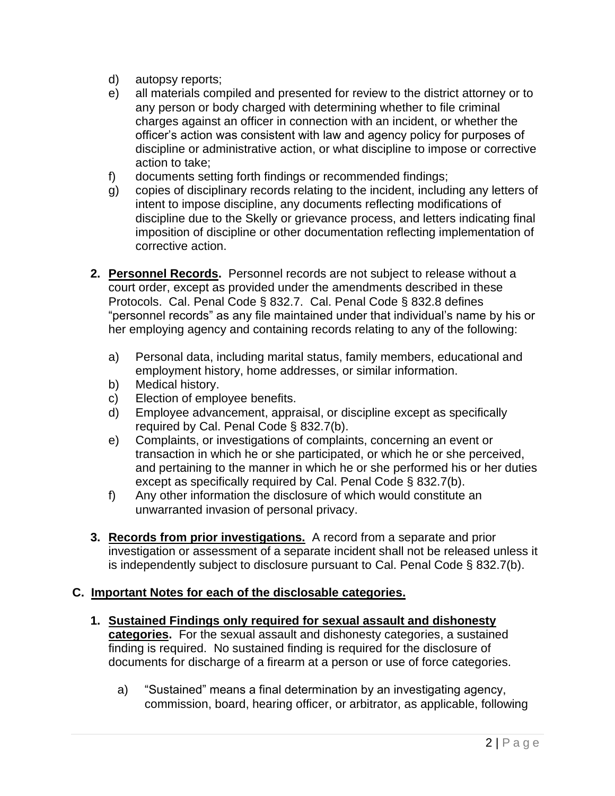- d) autopsy reports;
- e) all materials compiled and presented for review to the district attorney or to any person or body charged with determining whether to file criminal charges against an officer in connection with an incident, or whether the officer's action was consistent with law and agency policy for purposes of discipline or administrative action, or what discipline to impose or corrective action to take;
- f) documents setting forth findings or recommended findings;
- g) copies of disciplinary records relating to the incident, including any letters of intent to impose discipline, any documents reflecting modifications of discipline due to the Skelly or grievance process, and letters indicating final imposition of discipline or other documentation reflecting implementation of corrective action.
- **2. Personnel Records.** Personnel records are not subject to release without a court order, except as provided under the amendments described in these Protocols. Cal. Penal Code § 832.7. Cal. Penal Code § 832.8 defines "personnel records" as any file maintained under that individual's name by his or her employing agency and containing records relating to any of the following:
	- a) Personal data, including marital status, family members, educational and employment history, home addresses, or similar information.
	- b) Medical history.
	- c) Election of employee benefits.
	- d) Employee advancement, appraisal, or discipline except as specifically required by Cal. Penal Code § 832.7(b).
	- e) Complaints, or investigations of complaints, concerning an event or transaction in which he or she participated, or which he or she perceived, and pertaining to the manner in which he or she performed his or her duties except as specifically required by Cal. Penal Code § 832.7(b).
	- f) Any other information the disclosure of which would constitute an unwarranted invasion of personal privacy.
- **3. Records from prior investigations.** A record from a separate and prior investigation or assessment of a separate incident shall not be released unless it is independently subject to disclosure pursuant to Cal. Penal Code § 832.7(b).

## **C. Important Notes for each of the disclosable categories.**

- **1. Sustained Findings only required for sexual assault and dishonesty categories.** For the sexual assault and dishonesty categories, a sustained finding is required. No sustained finding is required for the disclosure of documents for discharge of a firearm at a person or use of force categories.
	- a) "Sustained" means a final determination by an investigating agency, commission, board, hearing officer, or arbitrator, as applicable, following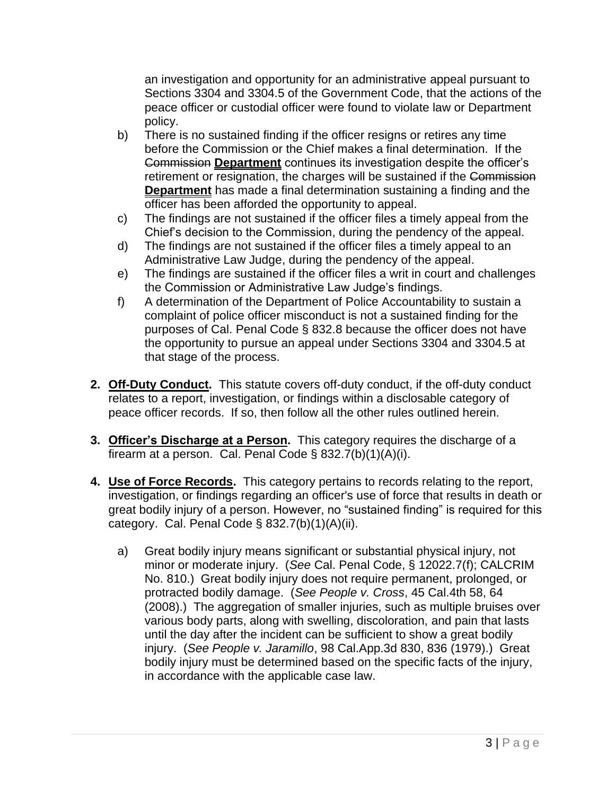an investigation and opportunity for an administrative appeal pursuant to Sections 3304 and 3304.5 of the Government Code, that the actions of the peace officer or custodial officer were found to violate law or Department policy.

- b) There is no sustained finding if the officer resigns or retires any time before the Commission or the Chief makes a final determination. If the Commission **Department** continues its investigation despite the officer's retirement or resignation, the charges will be sustained if the Commission **Department** has made a final determination sustaining a finding and the officer has been afforded the opportunity to appeal.
- c) The findings are not sustained if the officer files a timely appeal from the Chief's decision to the Commission, during the pendency of the appeal.
- d) The findings are not sustained if the officer files a timely appeal to an Administrative Law Judge, during the pendency of the appeal.
- e) The findings are sustained if the officer files a writ in court and challenges the Commission or Administrative Law Judge's findings.
- f) A determination of the Department of Police Accountability to sustain a complaint of police officer misconduct is not a sustained finding for the purposes of Cal. Penal Code § 832.8 because the officer does not have the opportunity to pursue an appeal under Sections 3304 and 3304.5 at that stage of the process.
- **2. Off-Duty Conduct.** This statute covers off-duty conduct, if the off-duty conduct relates to a report, investigation, or findings within a disclosable category of peace officer records. If so, then follow all the other rules outlined herein.
- **3. Officer's Discharge at a Person.** This category requires the discharge of a firearm at a person. Cal. Penal Code § 832.7(b)(1)(A)(i).
- **4. Use of Force Records.** This category pertains to records relating to the report, investigation, or findings regarding an officer's use of force that results in death or great bodily injury of a person. However, no "sustained finding" is required for this category. Cal. Penal Code § 832.7(b)(1)(A)(ii).
	- a) Great bodily injury means significant or substantial physical injury, not minor or moderate injury. (*See* Cal. Penal Code, § 12022.7(f); CALCRIM No. 810.) Great bodily injury does not require permanent, prolonged, or protracted bodily damage. (*See People v. Cross*, 45 Cal.4th 58, 64 (2008).) The aggregation of smaller injuries, such as multiple bruises over various body parts, along with swelling, discoloration, and pain that lasts until the day after the incident can be sufficient to show a great bodily injury. (*See People v. Jaramillo*, 98 Cal.App.3d 830, 836 (1979).) Great bodily injury must be determined based on the specific facts of the injury, in accordance with the applicable case law.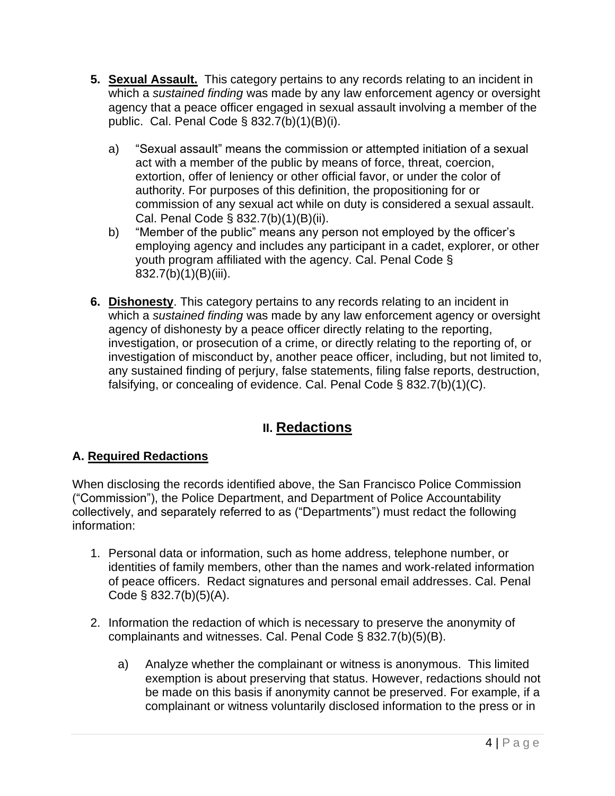- **5. Sexual Assault.** This category pertains to any records relating to an incident in which a *sustained finding* was made by any law enforcement agency or oversight agency that a peace officer engaged in sexual assault involving a member of the public. Cal. Penal Code § 832.7(b)(1)(B)(i).
	- a) "Sexual assault" means the commission or attempted initiation of a sexual act with a member of the public by means of force, threat, coercion, extortion, offer of leniency or other official favor, or under the color of authority. For purposes of this definition, the propositioning for or commission of any sexual act while on duty is considered a sexual assault. Cal. Penal Code § 832.7(b)(1)(B)(ii).
	- b) "Member of the public" means any person not employed by the officer's employing agency and includes any participant in a cadet, explorer, or other youth program affiliated with the agency. Cal. Penal Code § 832.7(b)(1)(B)(iii).
- **6. Dishonesty**. This category pertains to any records relating to an incident in which a *sustained finding* was made by any law enforcement agency or oversight agency of dishonesty by a peace officer directly relating to the reporting, investigation, or prosecution of a crime, or directly relating to the reporting of, or investigation of misconduct by, another peace officer, including, but not limited to, any sustained finding of perjury, false statements, filing false reports, destruction, falsifying, or concealing of evidence. Cal. Penal Code § 832.7(b)(1)(C).

# **II. Redactions**

## **A. Required Redactions**

When disclosing the records identified above, the San Francisco Police Commission ("Commission"), the Police Department, and Department of Police Accountability collectively, and separately referred to as ("Departments") must redact the following information:

- 1. Personal data or information, such as home address, telephone number, or identities of family members, other than the names and work-related information of peace officers. Redact signatures and personal email addresses. Cal. Penal Code  $\S$  832.7(b)(5)(A).
- 2. Information the redaction of which is necessary to preserve the anonymity of complainants and witnesses. Cal. Penal Code § 832.7(b)(5)(B).
	- a) Analyze whether the complainant or witness is anonymous. This limited exemption is about preserving that status. However, redactions should not be made on this basis if anonymity cannot be preserved. For example, if a complainant or witness voluntarily disclosed information to the press or in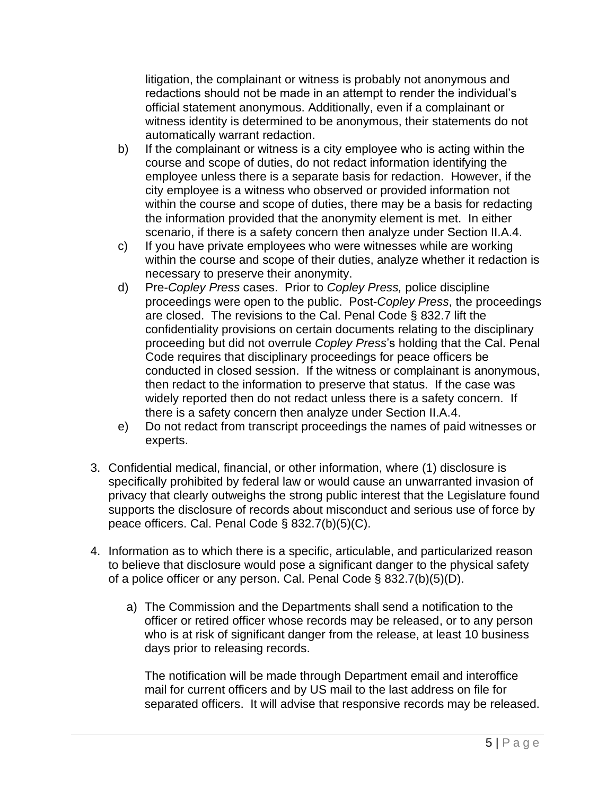litigation, the complainant or witness is probably not anonymous and redactions should not be made in an attempt to render the individual's official statement anonymous. Additionally, even if a complainant or witness identity is determined to be anonymous, their statements do not automatically warrant redaction.

- b) If the complainant or witness is a city employee who is acting within the course and scope of duties, do not redact information identifying the employee unless there is a separate basis for redaction. However, if the city employee is a witness who observed or provided information not within the course and scope of duties, there may be a basis for redacting the information provided that the anonymity element is met. In either scenario, if there is a safety concern then analyze under Section II.A.4.
- c) If you have private employees who were witnesses while are working within the course and scope of their duties, analyze whether it redaction is necessary to preserve their anonymity.
- d) Pre-*Copley Press* cases. Prior to *Copley Press,* police discipline proceedings were open to the public. Post-*Copley Press*, the proceedings are closed. The revisions to the Cal. Penal Code § 832.7 lift the confidentiality provisions on certain documents relating to the disciplinary proceeding but did not overrule *Copley Press*'s holding that the Cal. Penal Code requires that disciplinary proceedings for peace officers be conducted in closed session. If the witness or complainant is anonymous, then redact to the information to preserve that status. If the case was widely reported then do not redact unless there is a safety concern. If there is a safety concern then analyze under Section II.A.4.
- e) Do not redact from transcript proceedings the names of paid witnesses or experts.
- 3. Confidential medical, financial, or other information, where (1) disclosure is specifically prohibited by federal law or would cause an unwarranted invasion of privacy that clearly outweighs the strong public interest that the Legislature found supports the disclosure of records about misconduct and serious use of force by peace officers. Cal. Penal Code § 832.7(b)(5)(C).
- 4. Information as to which there is a specific, articulable, and particularized reason to believe that disclosure would pose a significant danger to the physical safety of a police officer or any person. Cal. Penal Code § 832.7(b)(5)(D).
	- a) The Commission and the Departments shall send a notification to the officer or retired officer whose records may be released, or to any person who is at risk of significant danger from the release, at least 10 business days prior to releasing records.

The notification will be made through Department email and interoffice mail for current officers and by US mail to the last address on file for separated officers. It will advise that responsive records may be released.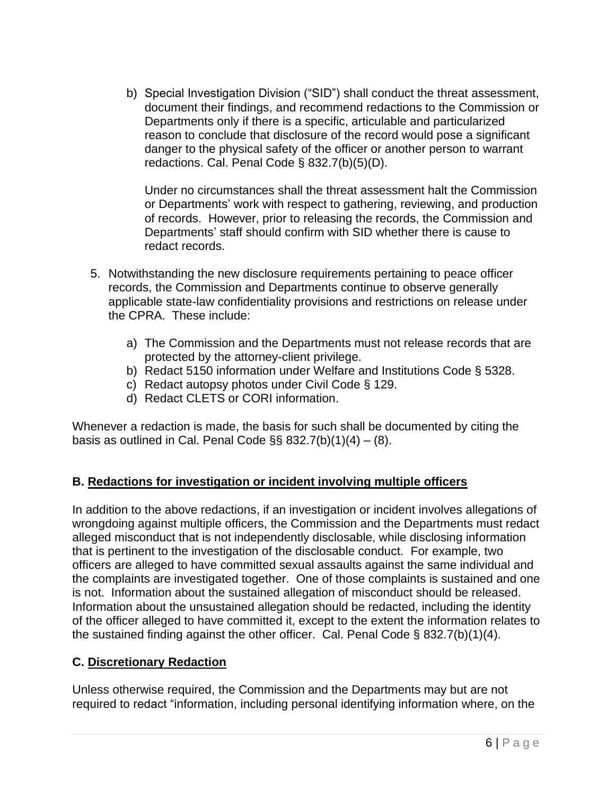b) Special Investigation Division ("SID") shall conduct the threat assessment, document their findings, and recommend redactions to the Commission or Departments only if there is a specific, articulable and particularized reason to conclude that disclosure of the record would pose a significant danger to the physical safety of the officer or another person to warrant redactions. Cal. Penal Code § 832.7(b)(5)(D).

Under no circumstances shall the threat assessment halt the Commission or Departments' work with respect to gathering, reviewing, and production of records. However, prior to releasing the records, the Commission and Departments' staff should confirm with SID whether there is cause to redact records.

- 5. Notwithstanding the new disclosure requirements pertaining to peace officer records, the Commission and Departments continue to observe generally applicable state-law confidentiality provisions and restrictions on release under the CPRA. These include:
	- a) The Commission and the Departments must not release records that are protected by the attorney-client privilege.
	- b) Redact 5150 information under Welfare and Institutions Code § 5328.
	- c) Redact autopsy photos under Civil Code § 129.
	- d) Redact CLETS or CORI information.

Whenever a redaction is made, the basis for such shall be documented by citing the basis as outlined in Cal. Penal Code  $\S$ § 832.7(b)(1)(4) – (8).

#### **B. Redactions for investigation or incident involving multiple officers**

In addition to the above redactions, if an investigation or incident involves allegations of wrongdoing against multiple officers, the Commission and the Departments must redact alleged misconduct that is not independently disclosable, while disclosing information that is pertinent to the investigation of the disclosable conduct. For example, two officers are alleged to have committed sexual assaults against the same individual and the complaints are investigated together. One of those complaints is sustained and one is not. Information about the sustained allegation of misconduct should be released. Information about the unsustained allegation should be redacted, including the identity of the officer alleged to have committed it, except to the extent the information relates to the sustained finding against the other officer. Cal. Penal Code § 832.7(b)(1)(4).

## **C. Discretionary Redaction**

Unless otherwise required, the Commission and the Departments may but are not required to redact "information, including personal identifying information where, on the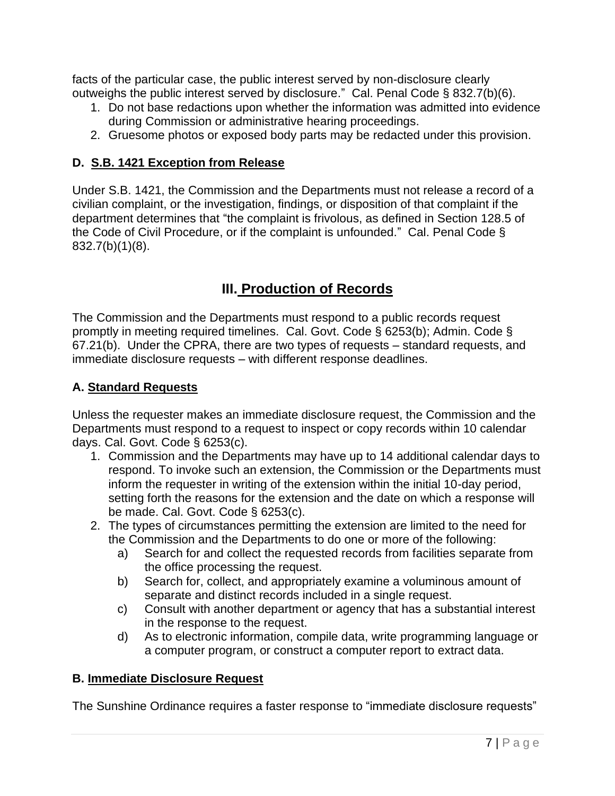facts of the particular case, the public interest served by non-disclosure clearly outweighs the public interest served by disclosure." Cal. Penal Code § 832.7(b)(6).

- 1. Do not base redactions upon whether the information was admitted into evidence during Commission or administrative hearing proceedings.
- 2. Gruesome photos or exposed body parts may be redacted under this provision.

#### **D. S.B. 1421 Exception from Release**

Under S.B. 1421, the Commission and the Departments must not release a record of a civilian complaint, or the investigation, findings, or disposition of that complaint if the department determines that "the complaint is frivolous, as defined in Section 128.5 of the Code of Civil Procedure, or if the complaint is unfounded." Cal. Penal Code § 832.7(b)(1)(8).

## **III. Production of Records**

The Commission and the Departments must respond to a public records request promptly in meeting required timelines. Cal. Govt. Code § 6253(b); Admin. Code § 67.21(b). Under the CPRA, there are two types of requests – standard requests, and immediate disclosure requests – with different response deadlines.

### **A. Standard Requests**

Unless the requester makes an immediate disclosure request, the Commission and the Departments must respond to a request to inspect or copy records within 10 calendar days. Cal. Govt. Code § 6253(c).

- 1. Commission and the Departments may have up to 14 additional calendar days to respond. To invoke such an extension, the Commission or the Departments must inform the requester in writing of the extension within the initial 10-day period, setting forth the reasons for the extension and the date on which a response will be made. Cal. Govt. Code § 6253(c).
- 2. The types of circumstances permitting the extension are limited to the need for the Commission and the Departments to do one or more of the following:
	- a) Search for and collect the requested records from facilities separate from the office processing the request.
	- b) Search for, collect, and appropriately examine a voluminous amount of separate and distinct records included in a single request.
	- c) Consult with another department or agency that has a substantial interest in the response to the request.
	- d) As to electronic information, compile data, write programming language or a computer program, or construct a computer report to extract data.

#### **B. Immediate Disclosure Request**

The Sunshine Ordinance requires a faster response to "immediate disclosure requests"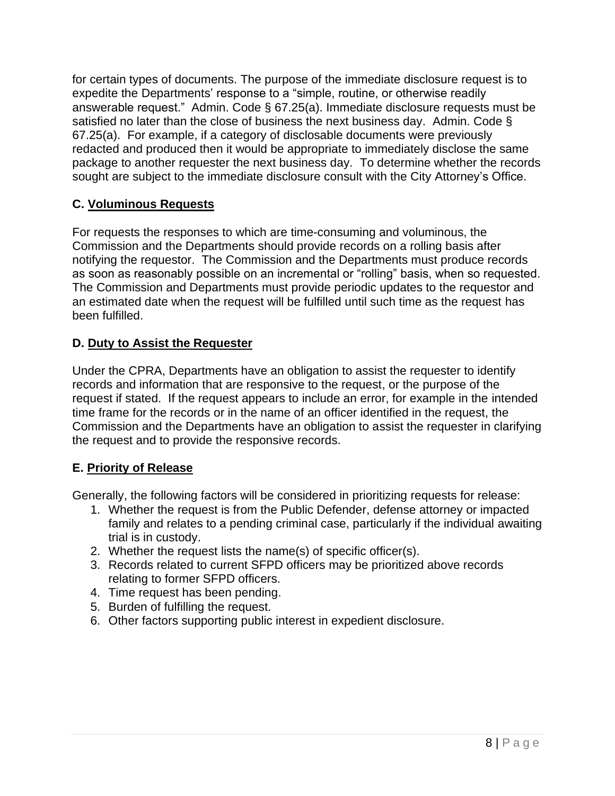for certain types of documents. The purpose of the immediate disclosure request is to expedite the Departments' response to a "simple, routine, or otherwise readily answerable request." Admin. Code § 67.25(a). Immediate disclosure requests must be satisfied no later than the close of business the next business day. Admin. Code § 67.25(a). For example, if a category of disclosable documents were previously redacted and produced then it would be appropriate to immediately disclose the same package to another requester the next business day. To determine whether the records sought are subject to the immediate disclosure consult with the City Attorney's Office.

### **C. Voluminous Requests**

For requests the responses to which are time-consuming and voluminous, the Commission and the Departments should provide records on a rolling basis after notifying the requestor. The Commission and the Departments must produce records as soon as reasonably possible on an incremental or "rolling" basis, when so requested. The Commission and Departments must provide periodic updates to the requestor and an estimated date when the request will be fulfilled until such time as the request has been fulfilled.

### **D. Duty to Assist the Requester**

Under the CPRA, Departments have an obligation to assist the requester to identify records and information that are responsive to the request, or the purpose of the request if stated. If the request appears to include an error, for example in the intended time frame for the records or in the name of an officer identified in the request, the Commission and the Departments have an obligation to assist the requester in clarifying the request and to provide the responsive records.

#### **E. Priority of Release**

Generally, the following factors will be considered in prioritizing requests for release:

- 1. Whether the request is from the Public Defender, defense attorney or impacted family and relates to a pending criminal case, particularly if the individual awaiting trial is in custody.
- 2. Whether the request lists the name(s) of specific officer(s).
- 3. Records related to current SFPD officers may be prioritized above records relating to former SFPD officers.
- 4. Time request has been pending.
- 5. Burden of fulfilling the request.
- 6. Other factors supporting public interest in expedient disclosure.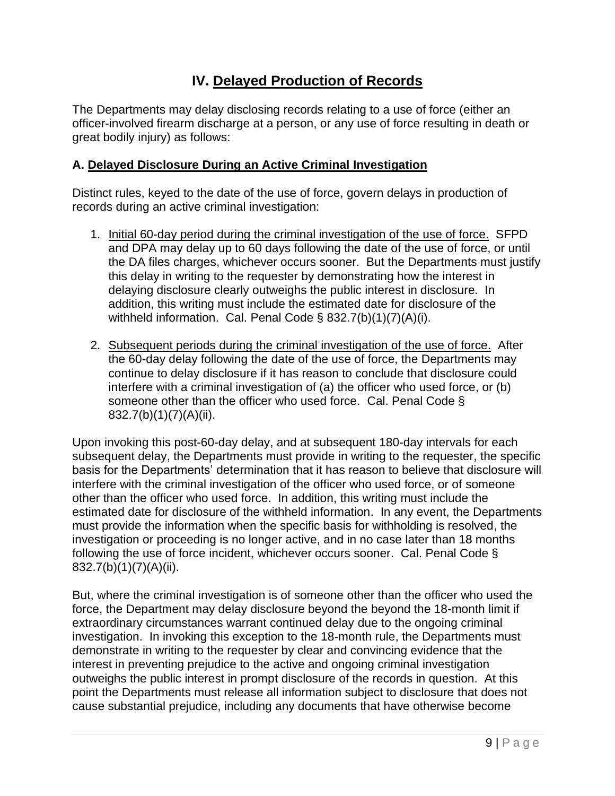## **IV. Delayed Production of Records**

The Departments may delay disclosing records relating to a use of force (either an officer-involved firearm discharge at a person, or any use of force resulting in death or great bodily injury) as follows:

### **A. Delayed Disclosure During an Active Criminal Investigation**

Distinct rules, keyed to the date of the use of force, govern delays in production of records during an active criminal investigation:

- 1. Initial 60-day period during the criminal investigation of the use of force. SFPD and DPA may delay up to 60 days following the date of the use of force, or until the DA files charges, whichever occurs sooner. But the Departments must justify this delay in writing to the requester by demonstrating how the interest in delaying disclosure clearly outweighs the public interest in disclosure. In addition, this writing must include the estimated date for disclosure of the withheld information. Cal. Penal Code § 832.7(b)(1)(7)(A)(i).
- 2. Subsequent periods during the criminal investigation of the use of force. After the 60-day delay following the date of the use of force, the Departments may continue to delay disclosure if it has reason to conclude that disclosure could interfere with a criminal investigation of (a) the officer who used force, or (b) someone other than the officer who used force. Cal. Penal Code § 832.7(b)(1)(7)(A)(ii).

Upon invoking this post-60-day delay, and at subsequent 180-day intervals for each subsequent delay, the Departments must provide in writing to the requester, the specific basis for the Departments' determination that it has reason to believe that disclosure will interfere with the criminal investigation of the officer who used force, or of someone other than the officer who used force. In addition, this writing must include the estimated date for disclosure of the withheld information. In any event, the Departments must provide the information when the specific basis for withholding is resolved, the investigation or proceeding is no longer active, and in no case later than 18 months following the use of force incident, whichever occurs sooner. Cal. Penal Code § 832.7(b)(1)(7)(A)(ii).

But, where the criminal investigation is of someone other than the officer who used the force, the Department may delay disclosure beyond the beyond the 18-month limit if extraordinary circumstances warrant continued delay due to the ongoing criminal investigation. In invoking this exception to the 18-month rule, the Departments must demonstrate in writing to the requester by clear and convincing evidence that the interest in preventing prejudice to the active and ongoing criminal investigation outweighs the public interest in prompt disclosure of the records in question. At this point the Departments must release all information subject to disclosure that does not cause substantial prejudice, including any documents that have otherwise become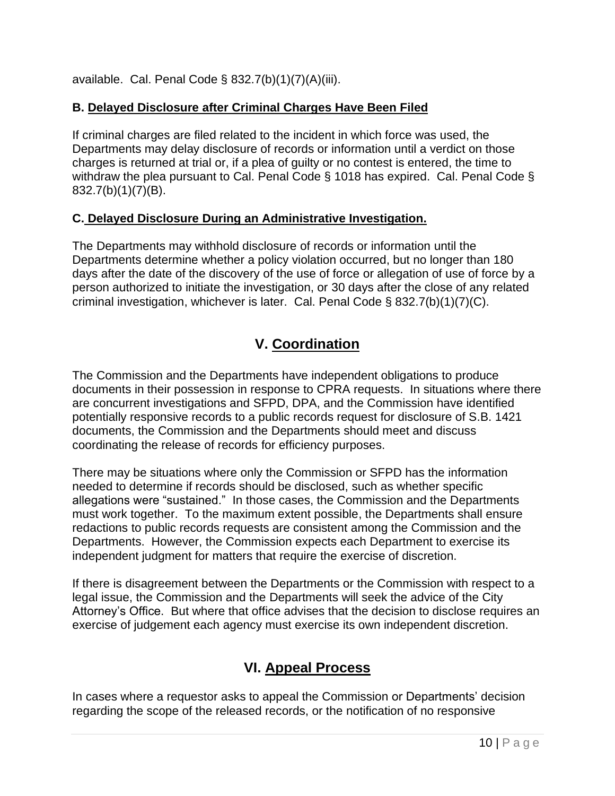available. Cal. Penal Code § 832.7(b)(1)(7)(A)(iii).

### **B. Delayed Disclosure after Criminal Charges Have Been Filed**

If criminal charges are filed related to the incident in which force was used, the Departments may delay disclosure of records or information until a verdict on those charges is returned at trial or, if a plea of guilty or no contest is entered, the time to withdraw the plea pursuant to Cal. Penal Code § 1018 has expired. Cal. Penal Code § 832.7(b)(1)(7)(B).

#### **C. Delayed Disclosure During an Administrative Investigation.**

The Departments may withhold disclosure of records or information until the Departments determine whether a policy violation occurred, but no longer than 180 days after the date of the discovery of the use of force or allegation of use of force by a person authorized to initiate the investigation, or 30 days after the close of any related criminal investigation, whichever is later. Cal. Penal Code § 832.7(b)(1)(7)(C).

# **V. Coordination**

The Commission and the Departments have independent obligations to produce documents in their possession in response to CPRA requests. In situations where there are concurrent investigations and SFPD, DPA, and the Commission have identified potentially responsive records to a public records request for disclosure of S.B. 1421 documents, the Commission and the Departments should meet and discuss coordinating the release of records for efficiency purposes.

There may be situations where only the Commission or SFPD has the information needed to determine if records should be disclosed, such as whether specific allegations were "sustained." In those cases, the Commission and the Departments must work together. To the maximum extent possible, the Departments shall ensure redactions to public records requests are consistent among the Commission and the Departments. However, the Commission expects each Department to exercise its independent judgment for matters that require the exercise of discretion.

If there is disagreement between the Departments or the Commission with respect to a legal issue, the Commission and the Departments will seek the advice of the City Attorney's Office. But where that office advises that the decision to disclose requires an exercise of judgement each agency must exercise its own independent discretion.

# **VI. Appeal Process**

In cases where a requestor asks to appeal the Commission or Departments' decision regarding the scope of the released records, or the notification of no responsive